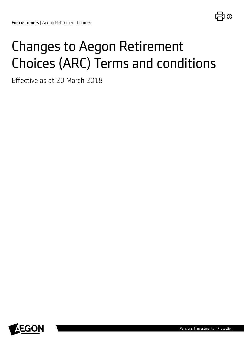# Changes to Aegon Retirement Choices (ARC) Terms and conditions

Efective as at 20 March 2018

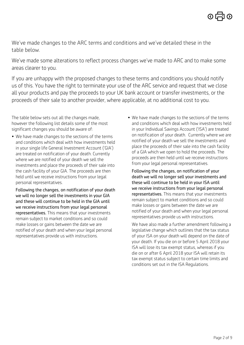We've made changes to the ARC terms and conditions and we've detailed these in the table below.

We've made some alterations to reflect process changes we've made to ARC and to make some areas clearer to you.

If you are unhappy with the proposed changes to these terms and conditions you should notify us of this. You have the right to terminate your use of the ARC service and request that we close all your products and pay the proceeds to your UK bank account or transfer investments, or the proceeds of their sale to another provider, where applicable, at no additional cost to you.

The table below sets out all the changes made, however the following list details some of the most significant changes you should be aware of:

• We have made changes to the sections of the terms and conditions which deal with how investments held in your single life General Investment Account ('GIA') are treated on notification of your death. Currently where we are notified of your death we sell the investments and place the proceeds of their sale into the cash facility of your GIA. The proceeds are then held until we receive instructions from your legal personal representatives.

Following the changes, on notification of your death we will no longer sell the investments in your GIA and these will continue to be held in the GIA until we receive instructions from your legal personal representatives. This means that your investments remain subject to market conditions and so could make losses or gains between the date we are notified of your death and when your legal personal representatives provide us with instructions.

• We have made changes to the sections of the terms and conditions which deal with how investments held in your Individual Savings Account ('ISA') are treated on notification of your death. Currently where we are notified of your death we sell the investments and place the proceeds of their sale into the cash facility of a GIA which we open to hold the proceeds. The proceeds are then held until we receive instructions from your legal personal representatives.

Following the changes, on notification of your death we will no longer sell your investments and these will continue to be held in your ISA until we receive instructions from your legal personal representatives. This means that your investments remain subject to market conditions and so could make losses or gains between the date we are notified of your death and when your legal personal representatives provide us with instructions.

 We have also made a further amendment following a legislative change which outlines that the tax status of your ISA on your death will depend on the date of your death. If you die on or before 5 April 2018 your ISA will lose its tax exempt status, whereas if you die on or after 6 April 2018 your ISA will retain its tax exempt status subject to certain time limits and conditions set out in the ISA Regulations.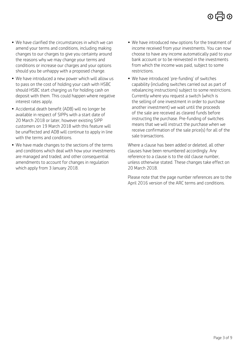- We have clarified the circumstances in which we can amend your terms and conditions, including making changes to our charges to give you certainty around the reasons why we may change your terms and conditions or increase our charges and your options should you be unhappy with a proposed change.
- We have introduced a new power which will allow us to pass on the cost of holding your cash with HSBC should HSBC start charging us for holding cash on deposit with them. This could happen where negative interest rates apply.
- Accidental death benefit (ADB) will no longer be available in respect of SIPPs with a start date of 20 March 2018 or later, however existing SIPP customers on 19 March 2018 with this feature will be unaffected and ADB will continue to apply in line with the terms and conditions.
- We have made changes to the sections of the terms and conditions which deal with how your investments are managed and traded, and other consequential amendments to account for changes in regulation which apply from 3 January 2018.
- We have introduced new options for the treatment of income received from your investments. You can now choose to have any income automatically paid to your bank account or to be reinvested in the investments from which the income was paid, subject to some restrictions.
- We have introduced 'pre-funding' of switches capability (including switches carried out as part of rebalancing instructions) subject to some restrictions. Currently where you request a switch (which is the selling of one investment in order to purchase another investment) we wait until the proceeds of the sale are received as cleared funds before instructing the purchase. Pre-funding of switches means that we will instruct the purchase when we receive confirmation of the sale price(s) for all of the sale transactions.

Where a clause has been added or deleted, all other clauses have been renumbered accordingly. Any reference to a clause is to the old clause number, unless otherwise stated. These changes take effect on 20 March 2018.

Please note that the page number references are to the April 2016 version of the ARC terms and conditions.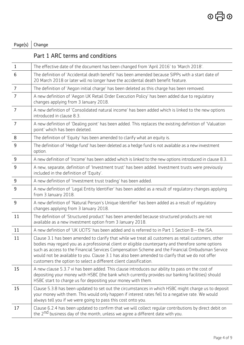## Page(s)  $|$  Change

#### Part 1 ARC terms and conditions

| $\mathbf{1}$   | The effective date of the document has been changed from 'April 2016' to 'March 2018'.                                                                                                                                                                                                                                                                                                                                                                                                |
|----------------|---------------------------------------------------------------------------------------------------------------------------------------------------------------------------------------------------------------------------------------------------------------------------------------------------------------------------------------------------------------------------------------------------------------------------------------------------------------------------------------|
| 6              | The definition of 'Accidental death benefit' has been amended because SIPPs with a start date of<br>20 March 2018 or later will no longer have the accidental death benefit feature.                                                                                                                                                                                                                                                                                                  |
| $\overline{7}$ | The definition of 'Aegon initial charge' has been deleted as this charge has been removed.                                                                                                                                                                                                                                                                                                                                                                                            |
| $\overline{7}$ | A new definition of 'Aegon UK Retail Order Execution Policy' has been added due to regulatory<br>changes applying from 3 January 2018.                                                                                                                                                                                                                                                                                                                                                |
| $\overline{7}$ | A new definition of 'Consolidated natural income' has been added which is linked to the new options<br>introduced in clause 8.3.                                                                                                                                                                                                                                                                                                                                                      |
| $\overline{7}$ | A new definition of 'Dealing point' has been added. This replaces the existing definition of 'Valuation<br>point' which has been deleted.                                                                                                                                                                                                                                                                                                                                             |
| 8              | The definition of 'Equity' has been amended to clarify what an equity is.                                                                                                                                                                                                                                                                                                                                                                                                             |
| 9              | The definition of 'Hedge fund' has been deleted as a hedge fund is not available as a new investment<br>option.                                                                                                                                                                                                                                                                                                                                                                       |
| 9              | A new definition of 'Income' has been added which is linked to the new options introduced in clause 8.3.                                                                                                                                                                                                                                                                                                                                                                              |
| 9              | A new, separate, definition of 'Investment trust' has been added. Investment trusts were previously<br>included in the definition of 'Equity'.                                                                                                                                                                                                                                                                                                                                        |
| 9              | A new definition of 'Investment trust trading' has been added.                                                                                                                                                                                                                                                                                                                                                                                                                        |
| 9              | A new definition of 'Legal Entity Identifier' has been added as a result of regulatory changes applying<br>from 3 January 2018.                                                                                                                                                                                                                                                                                                                                                       |
| 9              | A new definition of 'Natural Person's Unique Identifier' has been added as a result of regulatory<br>changes applying from 3 January 2018.                                                                                                                                                                                                                                                                                                                                            |
| 11             | The definition of 'Structured product' has been amended because structured products are not<br>available as a new investment option from 3 January 2018.                                                                                                                                                                                                                                                                                                                              |
| 11             | A new definition of 'UK UCITS' has been added and is referred to in Part 1 Section $B$ – the ISA.                                                                                                                                                                                                                                                                                                                                                                                     |
| 11             | Clause 3.1 has been amended to clarify that while we treat all customers as retail customers, other<br>bodies may regard you as a professional client or eligible counterparty and therefore some options<br>such as access to the Financial Services Compensation Scheme and the Financial Ombudsman Service<br>would not be available to you. Clause 3.1 has also been amended to clarify that we do not offer<br>customers the option to select a different client classification. |
| 15             | A new clause 5.3.7 vi has been added. This clause introduces our ability to pass on the cost of<br>depositing your money with HSBC (the bank which currently provides our banking facilities) should<br>HSBC start to charge us for depositing your money with them.                                                                                                                                                                                                                  |
| 15             | Clause 5.3.8 has been updated to set out the circumstances in which HSBC might charge us to deposit<br>your money with them. This would only happen if interest rates fell to a negative rate. We would<br>always tell you if we were going to pass this cost onto you.                                                                                                                                                                                                               |
| 17             | Clause 6.2.4 has been updated to confirm that we will collect reqular contributions by direct debit on<br>the 2 <sup>nd</sup> business day of the month, unless we agree a different date with you.                                                                                                                                                                                                                                                                                   |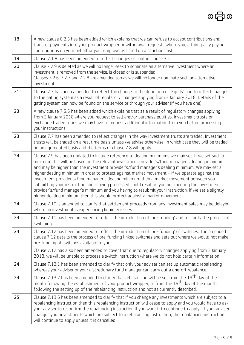| 18 | A new clause 6.2.5 has been added which explains that we can refuse to accept contributions and<br>transfer payments into your product wrapper or withdrawal requests where you, a third party paying<br>contributions on your behalf or your employer is listed on a sanctions list.                                                                                                                                                                                                                                                                                                                                                                                                                                                                                                        |
|----|----------------------------------------------------------------------------------------------------------------------------------------------------------------------------------------------------------------------------------------------------------------------------------------------------------------------------------------------------------------------------------------------------------------------------------------------------------------------------------------------------------------------------------------------------------------------------------------------------------------------------------------------------------------------------------------------------------------------------------------------------------------------------------------------|
| 19 | Clause 7.1.8 has been amended to reflect changes set out in clause 3.1.                                                                                                                                                                                                                                                                                                                                                                                                                                                                                                                                                                                                                                                                                                                      |
| 20 | Clause 7.2.9 is deleted as we will no longer seek to nominate an alternative investment where an<br>investment is removed from the service, is closed or is suspended.<br>Clauses 7.2.6, 7.2.7 and 7.2.8 are amended too as we will no longer nominate such an alternative<br>investment.                                                                                                                                                                                                                                                                                                                                                                                                                                                                                                    |
| 21 | Clause 7.3 has been amended to reflect the change to the definition of 'Equity' and to reflect changes<br>to the gating system as a result of regulatory changes applying from 3 January 2018. Details of the<br>gating system can now be found on the service or through your adviser (if you have one).                                                                                                                                                                                                                                                                                                                                                                                                                                                                                    |
| 23 | A new clause 7.5.6 has been added which explains that as a result of requlatory changes applying<br>from 3 January 2018 where you request to sell and/or purchase equities, investment trusts or<br>exchange traded funds we may have to request additional information from you before processing<br>your instructions.                                                                                                                                                                                                                                                                                                                                                                                                                                                                     |
| 23 | Clause 7.7 has been amended to reflect changes in the way investment trusts are traded. Investment<br>trusts will be traded on a real time basis unless we advise otherwise, in which case they will be traded<br>on an aggregated basis and the terms of clause 7.8 will apply.                                                                                                                                                                                                                                                                                                                                                                                                                                                                                                             |
| 24 | Clause 7.9 has been updated to include reference to dealing minimums we may set. If we set such a<br>minimum this will be based on the relevant investment provider's/fund manager's dealing minimum<br>and may be higher than the investment provider's/fund manager's dealing minimum. We may set a<br>higher dealing minimum in order to protect against market movement - if we operate against the<br>investment provider's/fund manager's dealing minimum then a market movement between you<br>submitting your instruction and it being processed could result in you not meeting the investment<br>provider's/fund manager's minimum and you having to resubmit your instruction. If we set a slightly<br>higher dealing minimum then this should protect against a market movement. |
| 24 | Clause 7.10 is amended to clarify that settlement proceeds from any investment sales may be delayed<br>where an investment is experiencing liquidity issues.                                                                                                                                                                                                                                                                                                                                                                                                                                                                                                                                                                                                                                 |
| 24 | Clause 7.11 has been amended to reflect the introduction of 'pre-funding' and to clarify the process of<br>switching.                                                                                                                                                                                                                                                                                                                                                                                                                                                                                                                                                                                                                                                                        |
| 24 | Clause 7.12 has been amended to reflect the introduction of 'pre-funding' of switches. The amended<br>clause 7.12 details the process of pre-funding linked switches and sets out where we would not make<br>pre-funding of switches available to you.                                                                                                                                                                                                                                                                                                                                                                                                                                                                                                                                       |
|    | Clause 7.12 has also been amended to cover that due to regulatory changes applying from 3 January<br>2018, we will be unable to process a switch instruction where we do not hold certain information.                                                                                                                                                                                                                                                                                                                                                                                                                                                                                                                                                                                       |
| 24 | Clause 7.13.1 has been amended to clarify that only your adviser can set up automatic rebalancing<br>whereas your adviser or your discretionary fund manager can carry out a one-off rebalance.                                                                                                                                                                                                                                                                                                                                                                                                                                                                                                                                                                                              |
| 24 | Clause 7.13.2 has been amended to clarify that rebalancing will be set from the 19 <sup>th</sup> day of the<br>month following the establishment of your product wrapper, or from the 19 <sup>th</sup> day of the month<br>following the setting up of the rebalancing instruction and not as currently described.                                                                                                                                                                                                                                                                                                                                                                                                                                                                           |
| 25 | Clause 7.13.6 has been amended to clarify that if you change any investments which are subject to a<br>rebalancing instruction then this rebalancing instruction will cease to apply and you would have to ask<br>your adviser to reconfirm the rebalancing instruction if you want it to continue to apply. If your adviser<br>changes your investments which are subject to a rebalancing instruction, the rebalancing instruction<br>will continue to apply unless it is cancelled.                                                                                                                                                                                                                                                                                                       |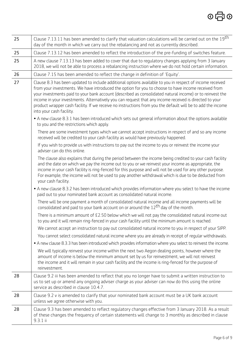| 25 | Clause 7.13.11 has been amended to clarify that valuation calculations will be carried out on the 19 <sup>th</sup><br>day of the month in which we carry out the rebalancing and not as currently described.                                                                                                                                                                                                                                                                                                                                                                     |
|----|----------------------------------------------------------------------------------------------------------------------------------------------------------------------------------------------------------------------------------------------------------------------------------------------------------------------------------------------------------------------------------------------------------------------------------------------------------------------------------------------------------------------------------------------------------------------------------|
| 25 | Clause 7.13.12 has been amended to reflect the introduction of the pre-funding of switches feature.                                                                                                                                                                                                                                                                                                                                                                                                                                                                              |
| 25 | A new clause 7.13.13 has been added to cover that due to regulatory changes applying from 3 January<br>2018, we will not be able to process a rebalancing instruction where we do not hold certain information.                                                                                                                                                                                                                                                                                                                                                                  |
| 26 | Clause 7.15 has been amended to reflect the change in definition of 'Equity'.                                                                                                                                                                                                                                                                                                                                                                                                                                                                                                    |
| 27 | Clause 8.3 has been updated to include additional options available to you in respect of income received<br>from your investments. We have introduced the option for you to choose to have income received from<br>your investments paid to your bank account (described as consolidated natural income) or to reinvest the<br>income in your investments. Alternatively you can request that any income received is directed to your<br>product wrapper cash facility. If we receive no instructions from you the default will be to add the income<br>into your cash facility. |
|    | • A new clause 8.3.1 has been introduced which sets out general information about the options available<br>to you and the restrictions which apply.                                                                                                                                                                                                                                                                                                                                                                                                                              |
|    | There are some investment types which we cannot accept instructions in respect of and so any income<br>received will be credited to your cash facility as would have previously happened.                                                                                                                                                                                                                                                                                                                                                                                        |
|    | If you wish to provide us with instructions to pay out the income to you or reinvest the income your<br>adviser can do this online.                                                                                                                                                                                                                                                                                                                                                                                                                                              |
|    | The clause also explains that during the period between the income being credited to your cash facility<br>and the date on which we pay the income out to you or we reinvest your income as appropriate, the<br>income in your cash facility is ring-fenced for this purpose and will not be used for any other purpose.<br>For example, the income will not be used to pay another withdrawal which is due to be deducted from<br>your cash facility.                                                                                                                           |
|    | • A new clause 8.3.2 has been introduced which provides information where you select to have the income<br>paid out to your nominated bank account as consolidated natural income.                                                                                                                                                                                                                                                                                                                                                                                               |
|    | There will be one payment a month of consolidated natural income and all income payments will be<br>consolidated and paid to your bank account on or around the $12th$ day of the month.                                                                                                                                                                                                                                                                                                                                                                                         |
|    | There is a minimum amount of £2.50 below which we will not pay the consolidated natural income out<br>to you and it will remain ring-fenced in your cash facility until the minimum amount is reached.                                                                                                                                                                                                                                                                                                                                                                           |
|    | We cannot accept an instruction to pay out consolidated natural income to you in respect of your SIPP.                                                                                                                                                                                                                                                                                                                                                                                                                                                                           |
|    | You cannot select consolidated natural income where you are already in receipt of regular withdrawals.                                                                                                                                                                                                                                                                                                                                                                                                                                                                           |
|    | • A new clause 8.3.3 has been introduced which provides information where you select to reinvest the income.                                                                                                                                                                                                                                                                                                                                                                                                                                                                     |
|    | We will typically reinvest your income within the next two Aegon dealing points, however where the<br>amount of income is below the minimum amount set by us for reinvestment, we will not reinvest<br>the income and it will remain in your cash facility and the income is ring-fenced for the purpose of<br>reinvestment.                                                                                                                                                                                                                                                     |
| 28 | Clause 9.2 iii has been amended to reflect that you no longer have to submit a written instruction to<br>us to set up or amend any ongoing adviser charge as your adviser can now do this using the online<br>service as described in clause 10.4.7.                                                                                                                                                                                                                                                                                                                             |
| 28 | Clause 9.2 v is amended to clarify that your nominated bank account must be a UK bank account<br>unless we agree otherwise with you.                                                                                                                                                                                                                                                                                                                                                                                                                                             |
| 28 | Clause 9.3 has been amended to reflect requlatory changes effective from 3 January 2018. As a result<br>of these changes the frequency of certain statements will change to 3 monthly as described in clause<br>9.3.1 ii                                                                                                                                                                                                                                                                                                                                                         |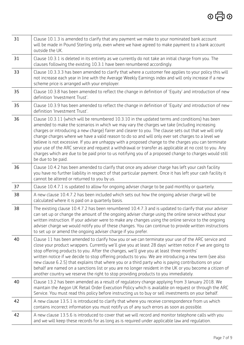| 31 | Clause 10.1.3 is amended to clarify that any payment we make to your nominated bank account<br>will be made in Pound Sterling only, even where we have agreed to make payment to a bank account<br>outside the UK.                                                                                                                                                                                                                                                                                                                                                                                                                                                                                                                                            |
|----|---------------------------------------------------------------------------------------------------------------------------------------------------------------------------------------------------------------------------------------------------------------------------------------------------------------------------------------------------------------------------------------------------------------------------------------------------------------------------------------------------------------------------------------------------------------------------------------------------------------------------------------------------------------------------------------------------------------------------------------------------------------|
| 31 | Clause 10.3.1 is deleted in its entirety as we currently do not take an initial charge from you. The<br>clauses following the existing 10.3.1 have been renumbered accordingly.                                                                                                                                                                                                                                                                                                                                                                                                                                                                                                                                                                               |
| 33 | Clause 10.3.3.3 has been amended to clarify that where a customer fee applies to your policy this will<br>not increase each year in line with the Average Weekly Earnings index and will only increase if a new<br>scheme price is arranged with your employer.                                                                                                                                                                                                                                                                                                                                                                                                                                                                                               |
| 35 | Clause 10.3.8 has been amended to reflect the change in definition of 'Equity' and introduction of new<br>definition 'Investment Trust'.                                                                                                                                                                                                                                                                                                                                                                                                                                                                                                                                                                                                                      |
| 35 | Clause 10.3.9 has been amended to reflect the change in definition of 'Equity' and introduction of new<br>definition 'Investment Trust'.                                                                                                                                                                                                                                                                                                                                                                                                                                                                                                                                                                                                                      |
| 36 | Clause 10.3.11 (which will be renumbered 10.3.10 in the updated terms and conditions) has been<br>amended to make the scenarios in which we may vary the charges we take (including increasing<br>charges or introducing a new charge) fairer and clearer to you. The clause sets out that we will only<br>change charges where we have a valid reason to do so and will only ever set charges to a level we<br>believe is not excessive. If you are unhappy with a proposed change to the charges you can terminate<br>your use of the ARC service and request a withdrawal or transfer as applicable at no cost to you. Any<br>charges which are due to be paid prior to us notifying you of a proposed change to charges would still<br>be due to be paid. |
| 36 | Clause 10.4.2 has been amended to clarify that once any adviser charge has left your cash facility<br>you have no further liability in respect of that particular payment. Once it has left your cash facility it<br>cannot be altered or returned to you by us.                                                                                                                                                                                                                                                                                                                                                                                                                                                                                              |
| 37 | Clause 10.4.7.1 is updated to allow for ongoing adviser charge to be paid monthly or quarterly.                                                                                                                                                                                                                                                                                                                                                                                                                                                                                                                                                                                                                                                               |
| 38 | A new clause 10.4.7.2 has been included which sets out how the ongoing adviser charge will be<br>calculated where it is paid on a quarterly basis.                                                                                                                                                                                                                                                                                                                                                                                                                                                                                                                                                                                                            |
| 38 | The existing clause 10.4.7.2 has been renumbered 10.4.7.3 and is updated to clarify that your adviser<br>can set up or change the amount of the ongoing adviser charge using the online service without your<br>written instruction. If your adviser were to make any changes using the online service to the ongoing<br>adviser charge we would notify you of these changes. You can continue to provide written instructions<br>to set up or amend the ongoing adviser charge if you prefer.                                                                                                                                                                                                                                                                |
| 40 | Clause 11 has been amended to clarify how you or we can terminate your use of the ARC service and<br>close your product wrappers. Currently we'll give you at least 28 days' written notice if we are going to<br>stop offering products to you. After the changes, we'll give you at least three months'<br>written notice if we decide to stop offering products to you. We are introducing a new term (see also<br>new clause 6.2.5) that explains that where you or a third party who is paying contributions on your<br>behalf are named on a sanctions list or you are no longer resident in the UK or you become a citizen of<br>another country we reserve the right to stop providing products to you immediately.                                   |
| 40 | Clause 13.2 has been amended as a result of regulatory change applying from 3 January 2018. We<br>maintain the Aegon UK Retail Order Execution Policy which is available on request or through the ARC<br>Service. You must read this policy before instructing us to buy or sell investments on your behalf.                                                                                                                                                                                                                                                                                                                                                                                                                                                 |
| 42 | A new clause 13.5.1 is introduced to clarify that where you receive correspondence from us which<br>contains incorrect information you must notify us of any such errors as soon as possible.                                                                                                                                                                                                                                                                                                                                                                                                                                                                                                                                                                 |
| 42 | A new clause 13.5.6 is introduced to cover that we will record and monitor telephone calls with you<br>and we will keep these records for as long as is required under applicable law and requlation.                                                                                                                                                                                                                                                                                                                                                                                                                                                                                                                                                         |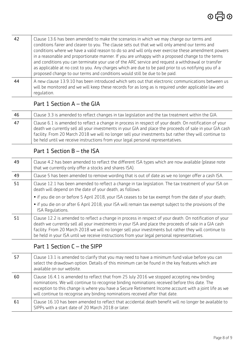| 42 | Clause 13.6 has been amended to make the scenarios in which we may change our terms and<br>conditions fairer and clearer to you. The clause sets out that we will only amend our terms and<br>conditions where we have a valid reason to do so and will only ever exercise these amendment powers<br>in a reasonable and proportionate manner. If you are unhappy with a proposed change to the terms<br>and conditions you can terminate your use of the ARC service and request a withdrawal or transfer<br>as applicable at no cost to you. Any charges which are due to be paid prior to us notifying you of a<br>proposed change to our terms and conditions would still be due to be paid. |
|----|--------------------------------------------------------------------------------------------------------------------------------------------------------------------------------------------------------------------------------------------------------------------------------------------------------------------------------------------------------------------------------------------------------------------------------------------------------------------------------------------------------------------------------------------------------------------------------------------------------------------------------------------------------------------------------------------------|
| 44 | A new clause 13.9.10 has been introduced which sets out that electronic communications between us<br>will be monitored and we will keep these records for as long as is required under applicable law and<br>requlation.                                                                                                                                                                                                                                                                                                                                                                                                                                                                         |

### Part 1 Section A – the GIA

| -46 | Clause 3.3 is amended to reflect changes in tax legislation and the tax treatment within the GIA.                                                                                                                                                                                                                                                                                                              |
|-----|----------------------------------------------------------------------------------------------------------------------------------------------------------------------------------------------------------------------------------------------------------------------------------------------------------------------------------------------------------------------------------------------------------------|
| 47  | Clause 6.1 is amended to reflect a change in process in respect of your death. On notification of your<br>death we currently sell all your investments in your GIA and place the proceeds of sale in your GIA cash<br>facility. From 20 March 2018 we will no longer sell your investments but rather they will continue to<br>be held until we receive instructions from your legal personal representatives. |

#### Part 1 Section B – the ISA

| 49 | Clause 4.2 has been amended to reflect the different ISA types which are now available (please note<br>that we currently only offer a stocks and shares ISA).                                                                                                                                                                                                                                                            |
|----|--------------------------------------------------------------------------------------------------------------------------------------------------------------------------------------------------------------------------------------------------------------------------------------------------------------------------------------------------------------------------------------------------------------------------|
| 49 | Clause 5 has been amended to remove wording that is out of date as we no longer offer a cash ISA.                                                                                                                                                                                                                                                                                                                        |
| 51 | Clause 12.1 has been amended to reflect a change in tax legislation. The tax treatment of your ISA on<br>death will depend on the date of your death, as follows:                                                                                                                                                                                                                                                        |
|    | • if you die on or before 5 April 2018, your ISA ceases to be tax exempt from the date of your death;                                                                                                                                                                                                                                                                                                                    |
|    | • if you die on or after 6 April 2018, your ISA will remain tax exempt subject to the provisions of the<br>ISA Requlations.                                                                                                                                                                                                                                                                                              |
| 51 | Clause 12.2 is amended to reflect a change in process in respect of your death. On notification of your<br>death we currently sell all your investments in your ISA and place the proceeds of sale in a GIA cash<br>facility. From 20 March 2018 we will no longer sell your investments but rather they will continue to<br>be held in your ISA until we receive instructions from your legal personal representatives. |

### Part 1 Section C – the SIPP

| -57 | Clause 13.1 is amended to clarify that you may need to have a minimum fund value before you can<br>select the drawdown option. Details of this minimum can be found in the key features which are<br>available on our website.                                                                                                                                                        |
|-----|---------------------------------------------------------------------------------------------------------------------------------------------------------------------------------------------------------------------------------------------------------------------------------------------------------------------------------------------------------------------------------------|
| -60 | Clause 16.4.1 is amended to reflect that from 25 July 2016 we stopped accepting new binding<br>nominations. We will continue to recognise binding nominations received before this date. The<br>exception to this change is where you have a Secure Retirement Income account with a joint life as we<br>will continue to recognise any binding nominations received after that date. |
| -61 | Clause 16.10 has been amended to reflect that accidental death benefit will no longer be available to<br>SIPPs with a start date of 20 March 2018 or later.                                                                                                                                                                                                                           |